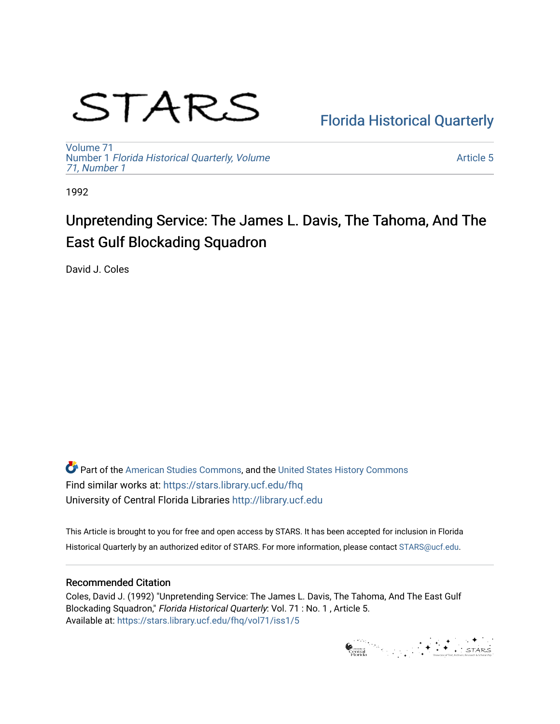# STARS

# [Florida Historical Quarterly](https://stars.library.ucf.edu/fhq)

[Volume 71](https://stars.library.ucf.edu/fhq/vol71) Number 1 [Florida Historical Quarterly, Volume](https://stars.library.ucf.edu/fhq/vol71/iss1)  [71, Number 1](https://stars.library.ucf.edu/fhq/vol71/iss1)

[Article 5](https://stars.library.ucf.edu/fhq/vol71/iss1/5) 

1992

# Unpretending Service: The James L. Davis, The Tahoma, And The East Gulf Blockading Squadron

David J. Coles

**C** Part of the [American Studies Commons](http://network.bepress.com/hgg/discipline/439?utm_source=stars.library.ucf.edu%2Ffhq%2Fvol71%2Fiss1%2F5&utm_medium=PDF&utm_campaign=PDFCoverPages), and the United States History Commons Find similar works at: <https://stars.library.ucf.edu/fhq> University of Central Florida Libraries [http://library.ucf.edu](http://library.ucf.edu/) 

This Article is brought to you for free and open access by STARS. It has been accepted for inclusion in Florida Historical Quarterly by an authorized editor of STARS. For more information, please contact [STARS@ucf.edu.](mailto:STARS@ucf.edu)

# Recommended Citation

Coles, David J. (1992) "Unpretending Service: The James L. Davis, The Tahoma, And The East Gulf Blockading Squadron," Florida Historical Quarterly: Vol. 71 : No. 1, Article 5. Available at: [https://stars.library.ucf.edu/fhq/vol71/iss1/5](https://stars.library.ucf.edu/fhq/vol71/iss1/5?utm_source=stars.library.ucf.edu%2Ffhq%2Fvol71%2Fiss1%2F5&utm_medium=PDF&utm_campaign=PDFCoverPages) 

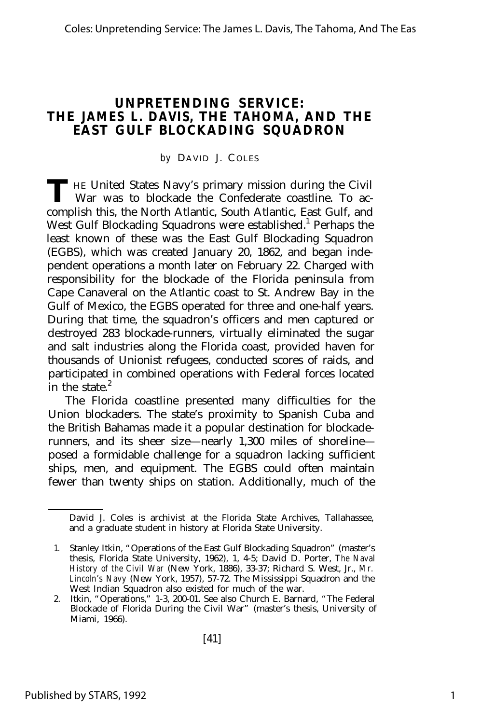# **UNPRETENDING SERVICE: THE** *JAMES L. DAVIS,* **THE** *TAHOMA,* **AND THE EAST GULF BLOCKADING SQUADRON**

#### *by* DAVID J. C OLES

THE United States Navy's primary mission during the Civil War was to blockade the Confederate coastline. To ac-War was to blockade the Confederate coastline. To accomplish this, the North Atlantic, South Atlantic, East Gulf, and West Gulf Blockading Squadrons were established.<sup>1</sup> Perhaps the least known of these was the East Gulf Blockading Squadron (EGBS), which was created January 20, 1862, and began independent operations a month later on February 22. Charged with responsibility for the blockade of the Florida peninsula from Cape Canaveral on the Atlantic coast to St. Andrew Bay in the Gulf of Mexico, the EGBS operated for three and one-half years. During that time, the squadron's officers and men captured or destroyed 283 blockade-runners, virtually eliminated the sugar and salt industries along the Florida coast, provided haven for thousands of Unionist refugees, conducted scores of raids, and participated in combined operations with Federal forces located in the state. $2$ 

The Florida coastline presented many difficulties for the Union blockaders. The state's proximity to Spanish Cuba and the British Bahamas made it a popular destination for blockaderunners, and its sheer size— nearly 1,300 miles of shoreline posed a formidable challenge for a squadron lacking sufficient ships, men, and equipment. The EGBS could often maintain fewer than twenty ships on station. Additionally, much of the

David J. Coles is archivist at the Florida State Archives, Tallahassee, and a graduate student in history at Florida State University.

<sup>1.</sup> Stanley Itkin, "Operations of the East Gulf Blockading Squadron" (master's thesis, Florida State University, 1962), 1, 4-5; David D. Porter, *The Naval History of the Civil War* (New York, 1886), 33-37; Richard S. West, Jr., *Mr. Lincoln's Navy* (New York, 1957), 57-72. The Mississippi Squadron and the West Indian Squadron also existed for much of the war.

<sup>2.</sup> Itkin, "Operations," 1-3, 200-01. See also Church E. Barnard, "The Federal Blockade of Florida During the Civil War" (master's thesis, University of Miami, 1966).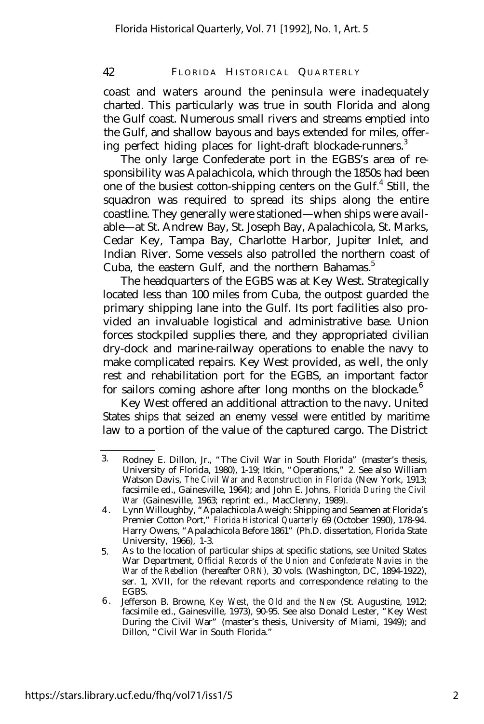coast and waters around the peninsula were inadequately charted. This particularly was true in south Florida and along the Gulf coast. Numerous small rivers and streams emptied into the Gulf, and shallow bayous and bays extended for miles, offering perfect hiding places for light-draft blockade-runners.<sup>3</sup>

The only large Confederate port in the EGBS's area of responsibility was Apalachicola, which through the 1850s had been one of the busiest cotton-shipping centers on the Gulf.<sup>4</sup> Still, the squadron was required to spread its ships along the entire coastline. They generally were stationed— when ships were available— at St. Andrew Bay, St. Joseph Bay, Apalachicola, St. Marks, Cedar Key, Tampa Bay, Charlotte Harbor, Jupiter Inlet, and Indian River. Some vessels also patrolled the northern coast of Cuba, the eastern Gulf, and the northern Bahamas.<sup>5</sup>

The headquarters of the EGBS was at Key West. Strategically located less than 100 miles from Cuba, the outpost guarded the primary shipping lane into the Gulf. Its port facilities also provided an invaluable logistical and administrative base. Union forces stockpiled supplies there, and they appropriated civilian dry-dock and marine-railway operations to enable the navy to make complicated repairs. Key West provided, as well, the only rest and rehabilitation port for the EGBS, an important factor for sailors coming ashore after long months on the blockade.<sup>6</sup>

Key West offered an additional attraction to the navy. United States ships that seized an enemy vessel were entitled by maritime law to a portion of the value of the captured cargo. The District

<sup>3.</sup> Rodney E. Dillon, Jr., "The Civil War in South Florida" (master's thesis, University of Florida, 1980), 1-19; Itkin, "Operations," 2. See also William Watson Davis, *The Civil War and Reconstruction in Florida* (New York, 1913; facsimile ed., Gainesville, 1964); and John E. Johns, *Florida During the Civil War* (Gainesville, 1963; reprint ed., MacClenny, 1989).

<sup>4</sup> . Lynn Willoughby, "Apalachicola Aweigh: Shipping and Seamen at Florida's Premier Cotton Port," *Florida Historical Quarterly* 69 (October 1990), 178-94. Harry Owens, "Apalachicola Before 1861" (Ph.D. dissertation, Florida State University, 1966), 1-3.

<sup>5.</sup> As to the location of particular ships at specific stations, see United States War Department, *Official Records of the Union and Confederate Navies in the War of the Rebellion* (hereafter *ORN),* 30 vols. (Washington, DC, 1894-1922), ser. 1, XVII, for the relevant reports and correspondence relating to the EGBS.

<sup>6</sup> . Jefferson B. Browne, *Key West, the Old and the New* (St. Augustine, 1912; facsimile ed., Gainesville, 1973), 90-95. See also Donald Lester, "Key West During the Civil War" (master's thesis, University of Miami, 1949); and Dillon, "Civil War in South Florida."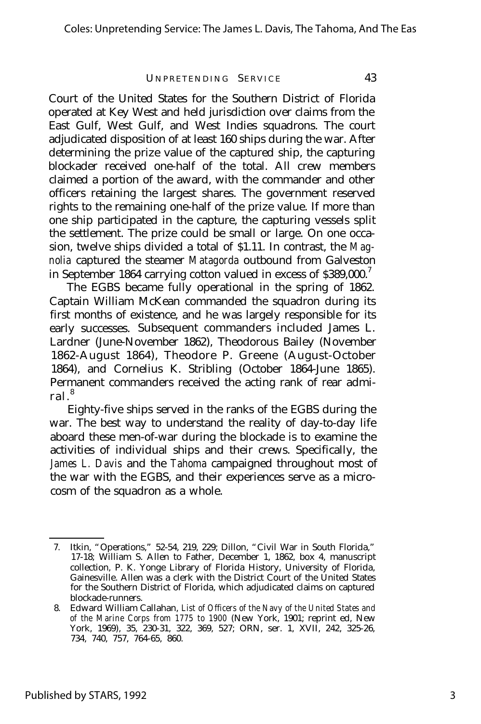Court of the United States for the Southern District of Florida operated at Key West and held jurisdiction over claims from the East Gulf, West Gulf, and West Indies squadrons. The court adjudicated disposition of at least 160 ships during the war. After determining the prize value of the captured ship, the capturing blockader received one-half of the total. All crew members claimed a portion of the award, with the commander and other officers retaining the largest shares. The government reserved rights to the remaining one-half of the prize value. If more than one ship participated in the capture, the capturing vessels split the settlement. The prize could be small or large. On one occasion, twelve ships divided a total of \$1.11. In contrast, the *Magnolia* captured the steamer *Matagorda* outbound from Galveston in September 1864 carrying cotton valued in excess of  $$389,000.<sup>7</sup>$ 

The EGBS became fully operational in the spring of 1862. Captain William McKean commanded the squadron during its first months of existence, and he was largely responsible for its early successes. Subsequent commanders included James L. Lardner (June-November 1862), Theodorous Bailey (November 1862-August 1864), Theodore P. Greene (August-October 1864), and Cornelius K. Stribling (October 1864-June 1865). Permanent commanders received the acting rank of rear admiral. 8

Eighty-five ships served in the ranks of the EGBS during the war. The best way to understand the reality of day-to-day life aboard these men-of-war during the blockade is to examine the activities of individual ships and their crews. Specifically, the *James L. Davis* and the *Tahoma* campaigned throughout most of the war with the EGBS, and their experiences serve as a microcosm of the squadron as a whole.

<sup>7.</sup> Itkin, "Operations," 52-54, 219, 229; Dillon, "Civil War in South Florida," 17-18; William S. Allen to Father, December 1, 1862, box 4, manuscript collection, P. K. Yonge Library of Florida History, University of Florida, Gainesville. Allen was a clerk with the District Court of the United States for the Southern District of Florida, which adjudicated claims on captured blockade-runners.

<sup>8.</sup> Edward William Callahan, *List of Officers of the Navy of the United States and of the Marine Corps from 1775 to 1900* (New York, 1901; reprint ed, New York, 1969), 35, 230-31, 322, 369, 527; ORN, ser. 1, XVII, 242, 325-26, 734, 740, 757, 764-65, 860.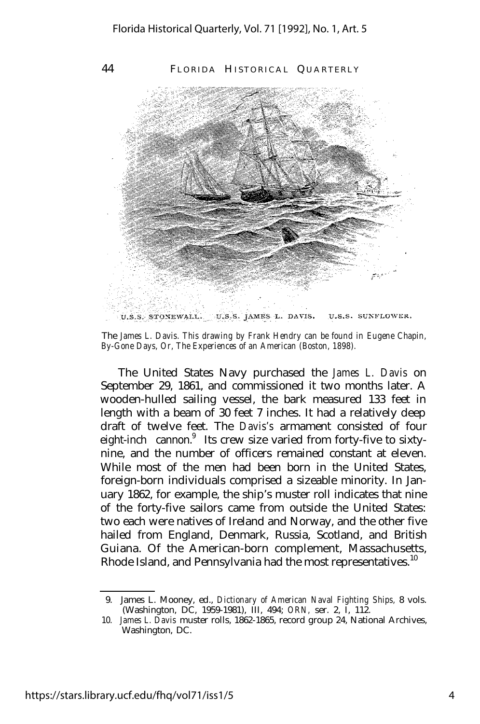

The *James L. Davis. This drawing by Frank Hendry can be found in Eugene Chapin, By-Gone Days, Or, The Experiences of an American (Boston, 1898).*

The United States Navy purchased the *James L. Davis* on September 29, 1861, and commissioned it two months later. A wooden-hulled sailing vessel, the bark measured 133 feet in length with a beam of 30 feet 7 inches. It had a relatively deep draft of twelve feet. The *Davis's* armament consisted of four eight-inch cannon.<sup>9</sup> Its crew size varied from forty-five to sixtynine, and the number of officers remained constant at eleven. While most of the men had been born in the United States, foreign-born individuals comprised a sizeable minority. In January 1862, for example, the ship's muster roll indicates that nine of the forty-five sailors came from outside the United States: two each were natives of Ireland and Norway, and the other five hailed from England, Denmark, Russia, Scotland, and British Guiana. Of the American-born complement, Massachusetts, Rhode Island, and Pennsylvania had the most representatives.<sup>10</sup>

<sup>9.</sup> James L. Mooney, ed., *Dictionary of American Naval Fighting Ships,* 8 vols. (Washington, DC, 1959-1981), III, 494; *ORN,* ser. 2, I, 112.

<sup>10.</sup> *James L. Davis* muster rolls, 1862-1865, record group 24, National Archives, Washington, DC.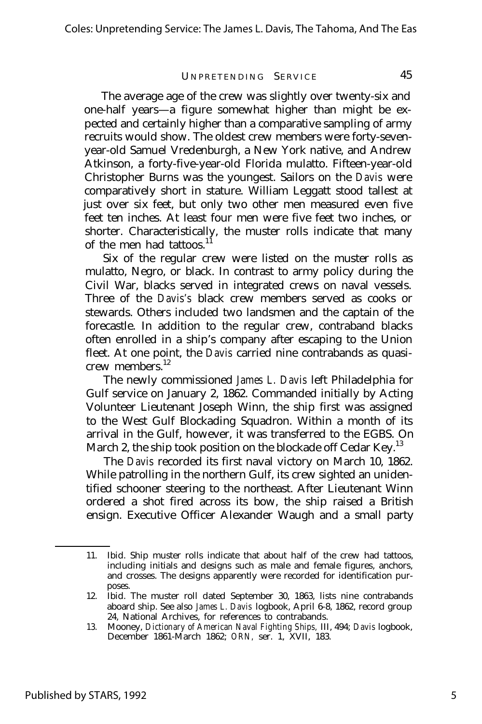The average age of the crew was slightly over twenty-six and one-half years— a figure somewhat higher than might be expected and certainly higher than a comparative sampling of army recruits would show. The oldest crew members were forty-sevenyear-old Samuel Vredenburgh, a New York native, and Andrew Atkinson, a forty-five-year-old Florida mulatto. Fifteen-year-old Christopher Burns was the youngest. Sailors on the *Davis* were comparatively short in stature. William Leggatt stood tallest at just over six feet, but only two other men measured even five feet ten inches. At least four men were five feet two inches, or shorter. Characteristically, the muster rolls indicate that many of the men had tattoos.<sup>11</sup>

Six of the regular crew were listed on the muster rolls as mulatto, Negro, or black. In contrast to army policy during the Civil War, blacks served in integrated crews on naval vessels. Three of the *Davis's* black crew members served as cooks or stewards. Others included two landsmen and the captain of the forecastle. In addition to the regular crew, contraband blacks often enrolled in a ship's company after escaping to the Union fleet. At one point, the *Davis* carried nine contrabands as quasicrew members.<sup>12</sup>

The newly commissioned *James L. Davis* left Philadelphia for Gulf service on January 2, 1862. Commanded initially by Acting Volunteer Lieutenant Joseph Winn, the ship first was assigned to the West Gulf Blockading Squadron. Within a month of its arrival in the Gulf, however, it was transferred to the EGBS. On March 2, the ship took position on the blockade off Cedar Key.<sup>13</sup>

The *Davis* recorded its first naval victory on March 10, 1862. While patrolling in the northern Gulf, its crew sighted an unidentified schooner steering to the northeast. After Lieutenant Winn ordered a shot fired across its bow, the ship raised a British ensign. Executive Officer Alexander Waugh and a small party

<sup>11.</sup> Ibid. Ship muster rolls indicate that about half of the crew had tattoos, including initials and designs such as male and female figures, anchors, and crosses. The designs apparently were recorded for identification purposes.

<sup>12.</sup> Ibid. The muster roll dated September 30, 1863, lists nine contrabands aboard ship. See also *James L. Davis* logbook, April 6-8, 1862, record group 24, National Archives, for references to contrabands.

<sup>13.</sup> Mooney, *Dictionary of American Naval Fighting Ships,* III, 494; *Davis* logbook, December 1861-March 1862; *ORN,* ser. 1, XVII, 183.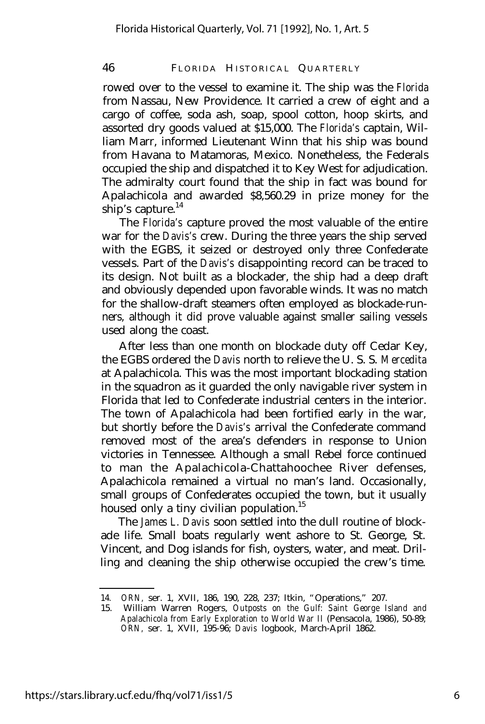rowed over to the vessel to examine it. The ship was the *Florida* from Nassau, New Providence. It carried a crew of eight and a cargo of coffee, soda ash, soap, spool cotton, hoop skirts, and assorted dry goods valued at \$15,000. The *Florida's* captain, William Marr, informed Lieutenant Winn that his ship was bound from Havana to Matamoras, Mexico. Nonetheless, the Federals occupied the ship and dispatched it to Key West for adjudication. The admiralty court found that the ship in fact was bound for Apalachicola and awarded \$8,560.29 in prize money for the ship's capture. $^{14}$ 

The *Florida's* capture proved the most valuable of the entire war for the *Davis's* crew. During the three years the ship served with the EGBS, it seized or destroyed only three Confederate vessels. Part of the *Davis's* disappointing record can be traced to its design. Not built as a blockader, the ship had a deep draft and obviously depended upon favorable winds. It was no match for the shallow-draft steamers often employed as blockade-runners, although it did prove valuable against smaller sailing vessels used along the coast.

After less than one month on blockade duty off Cedar Key, the EGBS ordered the *Davis* north to relieve the U. S. S. *Mercedita* at Apalachicola. This was the most important blockading station in the squadron as it guarded the only navigable river system in Florida that led to Confederate industrial centers in the interior. The town of Apalachicola had been fortified early in the war, but shortly before the *Davis's* arrival the Confederate command removed most of the area's defenders in response to Union victories in Tennessee. Although a small Rebel force continued to man the Apalachicola-Chattahoochee River defenses, Apalachicola remained a virtual no man's land. Occasionally, small groups of Confederates occupied the town, but it usually housed only a tiny civilian population.<sup>15</sup>

The *James L. Davis* soon settled into the dull routine of blockade life. Small boats regularly went ashore to St. George, St. Vincent, and Dog islands for fish, oysters, water, and meat. Drilling and cleaning the ship otherwise occupied the crew's time.

<sup>14.</sup> *ORN,* ser. 1, XVII, 186, 190, 228, 237; Itkin, "Operations," 207.

<sup>15.</sup> William Warren Rogers, *Outposts on the Gulf: Saint George Island and Apalachicola from Early Exploration to World War II* (Pensacola, 1986), 50-89; *ORN,* ser. 1, XVII, 195-96; *Davis* logbook, March-April 1862.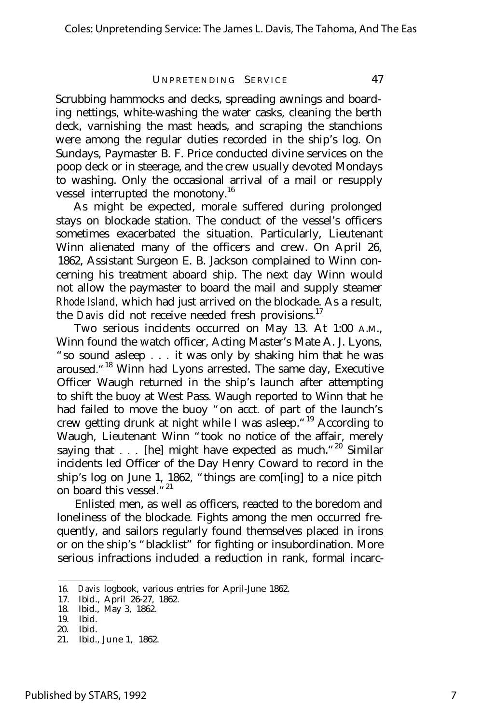Scrubbing hammocks and decks, spreading awnings and boarding nettings, white-washing the water casks, cleaning the berth deck, varnishing the mast heads, and scraping the stanchions were among the regular duties recorded in the ship's log. On Sundays, Paymaster B. F. Price conducted divine services on the poop deck or in steerage, and the crew usually devoted Mondays to washing. Only the occasional arrival of a mail or resupply vessel interrupted the monotony.<sup>16</sup>

As might be expected, morale suffered during prolonged stays on blockade station. The conduct of the vessel's officers sometimes exacerbated the situation. Particularly, Lieutenant Winn alienated many of the officers and crew. On April 26, 1862, Assistant Surgeon E. B. Jackson complained to Winn concerning his treatment aboard ship. The next day Winn would not allow the paymaster to board the mail and supply steamer *Rhode Island,* which had just arrived on the blockade. As a result, the *Davis* did not receive needed fresh provisions.<sup>17</sup>

Two serious incidents occurred on May 13. At 1:00 A.M., Winn found the watch officer, Acting Master's Mate A. J. Lyons, "so sound asleep . . . it was only by shaking him that he was aroused."<sup>18</sup> Winn had Lyons arrested. The same day, Executive Officer Waugh returned in the ship's launch after attempting to shift the buoy at West Pass. Waugh reported to Winn that he had failed to move the buoy "on acct. of part of the launch's crew getting drunk at night while I was asleep."<sup>19</sup> According to Waugh, Lieutenant Winn "took no notice of the affair, merely saying that . . . [he] might have expected as much."<sup>20</sup> Similar incidents led Officer of the Day Henry Coward to record in the ship's log on June 1, 1862, "things are com[ing] to a nice pitch on board this vessel."<sup>21</sup>

Enlisted men, as well as officers, reacted to the boredom and loneliness of the blockade. Fights among the men occurred frequently, and sailors regularly found themselves placed in irons or on the ship's "blacklist" for fighting or insubordination. More serious infractions included a reduction in rank, formal incarc-

<sup>16.</sup> *Davis* logbook, various entries for April-June 1862.

<sup>17.</sup> Ibid., April 26-27, 1862.

<sup>18.</sup> Ibid., May 3, 1862.

<sup>19.</sup> Ibid.

<sup>20.</sup> Ibid.

<sup>21.</sup> Ibid., June 1, 1862.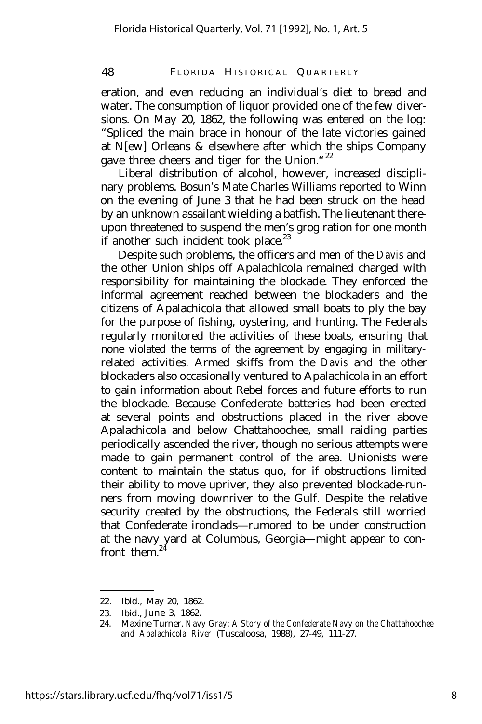eration, and even reducing an individual's diet to bread and water. The consumption of liquor provided one of the few diversions. On May 20, 1862, the following was entered on the log: "Spliced the main brace in honour of the late victories gained at N[ew] Orleans & elsewhere after which the ships Company gave three cheers and tiger for the Union."<sup>22</sup>

Liberal distribution of alcohol, however, increased disciplinary problems. Bosun's Mate Charles Williams reported to Winn on the evening of June 3 that he had been struck on the head by an unknown assailant wielding a batfish. The lieutenant thereupon threatened to suspend the men's grog ration for one month if another such incident took place. $^{23}$ 

Despite such problems, the officers and men of the *Davis* and the other Union ships off Apalachicola remained charged with responsibility for maintaining the blockade. They enforced the informal agreement reached between the blockaders and the citizens of Apalachicola that allowed small boats to ply the bay for the purpose of fishing, oystering, and hunting. The Federals regularly monitored the activities of these boats, ensuring that none violated the terms of the agreement by engaging in militaryrelated activities. Armed skiffs from the *Davis* and the other blockaders also occasionally ventured to Apalachicola in an effort to gain information about Rebel forces and future efforts to run the blockade. Because Confederate batteries had been erected at several points and obstructions placed in the river above Apalachicola and below Chattahoochee, small raiding parties periodically ascended the river, though no serious attempts were made to gain permanent control of the area. Unionists were content to maintain the status quo, for if obstructions limited their ability to move upriver, they also prevented blockade-runners from moving downriver to the Gulf. Despite the relative security created by the obstructions, the Federals still worried that Confederate ironclads— rumored to be under construction at the navy yard at Columbus, Georgia— might appear to confront them.<sup>4</sup>

<sup>22.</sup> Ibid., May 20, 1862.

<sup>23.</sup> Ibid., June 3, 1862.

<sup>24.</sup> Maxine Turner, *Navy Gray: A Story of the Confederate Navy on the Chattahoochee and Apalachicola River* (Tuscaloosa, 1988), 27-49, 111-27.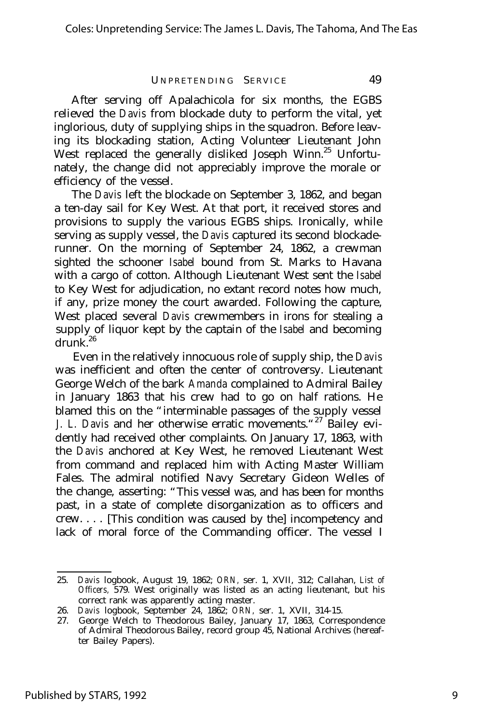After serving off Apalachicola for six months, the EGBS relieved the *Davis* from blockade duty to perform the vital, yet inglorious, duty of supplying ships in the squadron. Before leaving its blockading station, Acting Volunteer Lieutenant John West replaced the generally disliked Joseph Winn.<sup>25</sup> Unfortunately, the change did not appreciably improve the morale or efficiency of the vessel.

The *Davis* left the blockade on September 3, 1862, and began a ten-day sail for Key West. At that port, it received stores and provisions to supply the various EGBS ships. Ironically, while serving as supply vessel, the *Davis* captured its second blockaderunner. On the morning of September 24, 1862, a crewman sighted the schooner *Isabel* bound from St. Marks to Havana with a cargo of cotton. Although Lieutenant West sent the *Isabel* to Key West for adjudication, no extant record notes how much, if any, prize money the court awarded. Following the capture, West placed several *Davis* crewmembers in irons for stealing a supply of liquor kept by the captain of the *Isabel* and becoming  $drunk^{26}$ 

Even in the relatively innocuous role of supply ship, the *Davis* was inefficient and often the center of controversy. Lieutenant George Welch of the bark *Amanda* complained to Admiral Bailey in January 1863 that his crew had to go on half rations. He blamed this on the "interminable passages of the supply vessel *J. L. Davis* and her otherwise erratic movements."<sup>27</sup> Bailey evidently had received other complaints. On January 17, 1863, with the *Davis* anchored at Key West, he removed Lieutenant West from command and replaced him with Acting Master William Fales. The admiral notified Navy Secretary Gideon Welles of the change, asserting: "This vessel was, and has been for months past, in a state of complete disorganization as to officers and crew. . . . [This condition was caused by the] incompetency and lack of moral force of the Commanding officer. The vessel I

<sup>25.</sup> *Davis* logbook, August 19, 1862; *ORN,* ser. 1, XVII, 312; Callahan, *List of Officers,* 579. West originally was listed as an acting lieutenant, but his correct rank was apparently acting master.

<sup>26.</sup> *Davis* logbook, September 24, 1862; *ORN,* ser. 1, XVII, 314-15.

<sup>27.</sup> George Welch to Theodorous Bailey, January 17, 1863, Correspondence of Admiral Theodorous Bailey, record group 45, National Archives (hereafter Bailey Papers).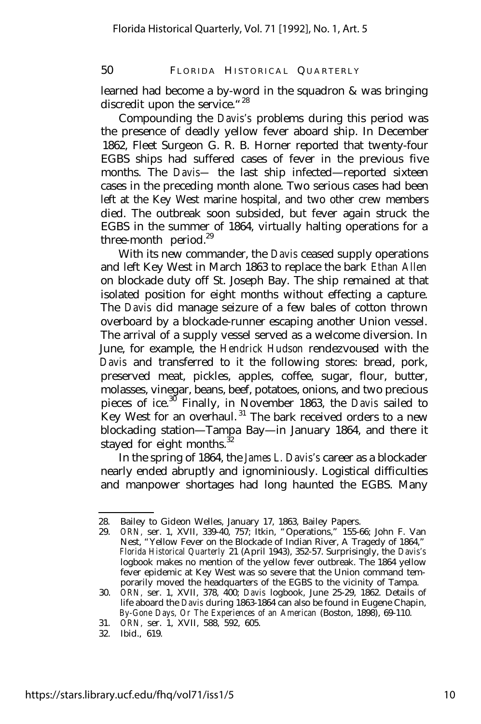learned had become a by-word in the squadron & was bringing discredit upon the service."<sup>28</sup>

Compounding the *Davis's* problems during this period was the presence of deadly yellow fever aboard ship. In December 1862, Fleet Surgeon G. R. B. Horner reported that twenty-four EGBS ships had suffered cases of fever in the previous five months. The *Davis—* the last ship infected— reported sixteen cases in the preceding month alone. Two serious cases had been left at the Key West marine hospital, and two other crew members died. The outbreak soon subsided, but fever again struck the EGBS in the summer of 1864, virtually halting operations for a three-month period. $29$ 

With its new commander, the *Davis* ceased supply operations and left Key West in March 1863 to replace the bark *Ethan Allen* on blockade duty off St. Joseph Bay. The ship remained at that isolated position for eight months without effecting a capture. The *Davis* did manage seizure of a few bales of cotton thrown overboard by a blockade-runner escaping another Union vessel. The arrival of a supply vessel served as a welcome diversion. In June, for example, the *Hendrick Hudson* rendezvoused with the *Davis* and transferred to it the following stores: bread, pork, preserved meat, pickles, apples, coffee, sugar, flour, butter, molasses, vinegar, beans, beef, potatoes, onions, and two precious pieces of ice.<sup>30</sup> Finally, in November 1863, the *Davis* sailed to Key West for an overhaul.<sup>31</sup> The bark received orders to a new blockading station— Tampa Bay— in January 1864, and there it stayed for eight months. $32$ 

In the spring of 1864, the *James L. Davis's* career as a blockader nearly ended abruptly and ignominiously. Logistical difficulties and manpower shortages had long haunted the EGBS. Many

<sup>28.</sup> Bailey to Gideon Welles, January 17, 1863, Bailey Papers.<br>29. ORN. ser. 1. XVII. 339-40. 757: Itkin. "Operations." 155-6

<sup>29.</sup> *ORN,* ser. 1, XVII, 339-40, 757; Itkin, "Operations," 155-66; John F. Van Nest, "Yellow Fever on the Blockade of Indian River, A Tragedy of 1864," *Florida Historical Quarterly* 21 (April 1943), 352-57. Surprisingly, the *Davis's* logbook makes no mention of the yellow fever outbreak. The 1864 yellow fever epidemic at Key West was so severe that the Union command temporarily moved the headquarters of the EGBS to the vicinity of Tampa.

<sup>30.</sup> *ORN,* ser. 1, XVII, 378, 400; *Davis* logbook, June 25-29, 1862. Details of life aboard the *Davis* during 1863-1864 can also be found in Eugene Chapin, *By-Gone Days, Or The Experiences of an American* (Boston, 1898), 69-110.

<sup>31.</sup> *ORN,* ser. 1, XVII, 588, 592, 605.

<sup>32.</sup> Ibid., 619.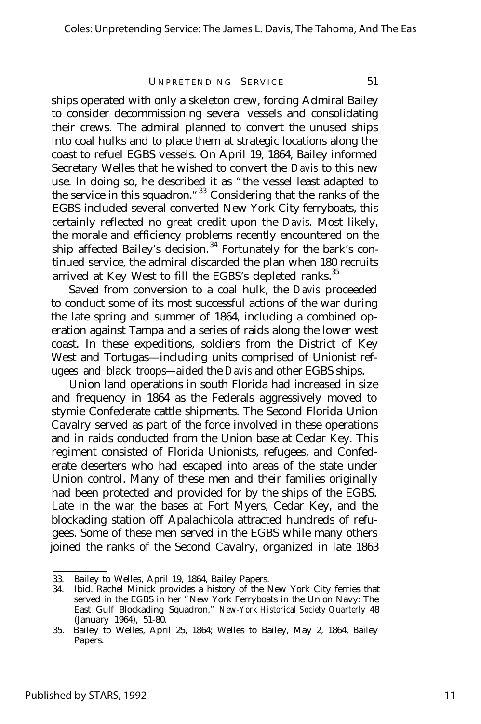ships operated with only a skeleton crew, forcing Admiral Bailey to consider decommissioning several vessels and consolidating their crews. The admiral planned to convert the unused ships into coal hulks and to place them at strategic locations along the coast to refuel EGBS vessels. On April 19, 1864, Bailey informed Secretary Welles that he wished to convert the *Davis* to this new use. In doing so, he described it as "the vessel least adapted to the service in this squadron.<sup>"33</sup> Considering that the ranks of the EGBS included several converted New York City ferryboats, this certainly reflected no great credit upon the *Davis.* Most likely, the morale and efficiency problems recently encountered on the ship affected Bailey's decision.<sup>34</sup> Fortunately for the bark's continued service, the admiral discarded the plan when 180 recruits arrived at Key West to fill the EGBS's depleted ranks.<sup>35</sup>

Saved from conversion to a coal hulk, the *Davis* proceeded to conduct some of its most successful actions of the war during the late spring and summer of 1864, including a combined operation against Tampa and a series of raids along the lower west coast. In these expeditions, soldiers from the District of Key West and Tortugas— including units comprised of Unionist refugees and black troops— aided the *Davis* and other EGBS ships.

Union land operations in south Florida had increased in size and frequency in 1864 as the Federals aggressively moved to stymie Confederate cattle shipments. The Second Florida Union Cavalry served as part of the force involved in these operations and in raids conducted from the Union base at Cedar Key. This regiment consisted of Florida Unionists, refugees, and Confederate deserters who had escaped into areas of the state under Union control. Many of these men and their families originally had been protected and provided for by the ships of the EGBS. Late in the war the bases at Fort Myers, Cedar Key, and the blockading station off Apalachicola attracted hundreds of refugees. Some of these men served in the EGBS while many others joined the ranks of the Second Cavalry, organized in late 1863

<sup>33.</sup> Bailey to Welles, April 19, 1864, Bailey Papers.

<sup>34.</sup> Ibid. Rachel Minick provides a history of the New York City ferries that served in the EGBS in her "New York Ferryboats in the Union Navy: The East Gulf Blockading Squadron," *New-York Historical Society Quarterly* 48 (January 1964), 51-80.

<sup>35.</sup> Bailey to Welles, April 25, 1864; Welles to Bailey, May 2, 1864, Bailey Papers.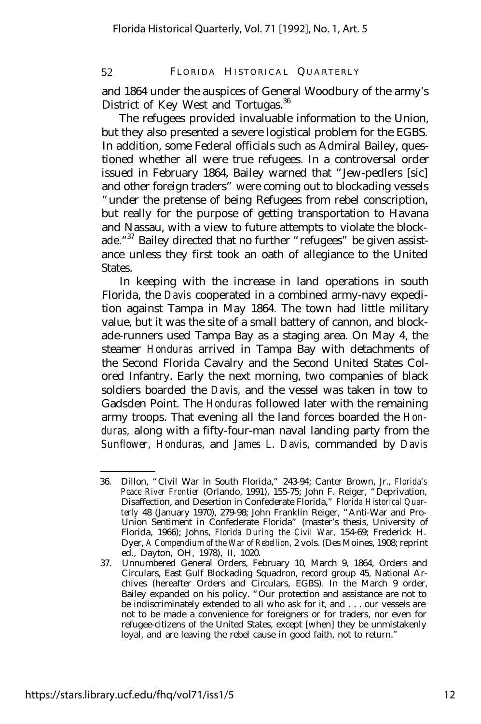and 1864 under the auspices of General Woodbury of the army's District of Key West and Tortugas.<sup>36</sup>

The refugees provided invaluable information to the Union, but they also presented a severe logistical problem for the EGBS. In addition, some Federal officials such as Admiral Bailey, questioned whether all were true refugees. In a controversal order issued in February 1864, Bailey warned that "Jew-pedlers [sic] and other foreign traders" were coming out to blockading vessels "under the pretense of being Refugees from rebel conscription, but really for the purpose of getting transportation to Havana and Nassau, with a view to future attempts to violate the blockade. "<sup>37</sup> Bailey directed that no further "refugees" be given assistance unless they first took an oath of allegiance to the United States.

In keeping with the increase in land operations in south Florida, the *Davis* cooperated in a combined army-navy expedition against Tampa in May 1864. The town had little military value, but it was the site of a small battery of cannon, and blockade-runners used Tampa Bay as a staging area. On May 4, the steamer *Honduras* arrived in Tampa Bay with detachments of the Second Florida Cavalry and the Second United States Colored Infantry. Early the next morning, two companies of black soldiers boarded the *Davis,* and the vessel was taken in tow to Gadsden Point. The *Honduras* followed later with the remaining army troops. That evening all the land forces boarded the *Honduras,* along with a fifty-four-man naval landing party from the *Sunflower, Honduras,* and *James L. Davis,* commanded by *Davis*

<sup>36.</sup> Dillon, "Civil War in South Florida," 243-94; Canter Brown, Jr., *Florida's Peace River Frontier* (Orlando, 1991), 155-75; John F. Reiger, "Deprivation, Disaffection, and Desertion in Confederate Florida," *Florida Historical Quarterly* 48 (January 1970), 279-98; John Franklin Reiger, "Anti-War and Pro-Union Sentiment in Confederate Florida" (master's thesis, University of Florida, 1966); Johns, *Florida During the Civil War,* 154-69; Frederick H. Dyer, *A Compendium of the War of Rebellion,* 2 vols. (Des Moines, 1908; reprint ed., Dayton, OH, 1978), II, 1020.

<sup>37.</sup> Unnumbered General Orders, February 10, March 9, 1864, Orders and Circulars, East Gulf Blockading Squadron, record group 45, National Archives (hereafter Orders and Circulars, EGBS). In the March 9 order, Bailey expanded on his policy. "Our protection and assistance are not to be indiscriminately extended to all who ask for it, and . . . our vessels are not to be made a convenience for foreigners or for traders, nor even for refugee-citizens of the United States, except [when] they be unmistakenly loyal, and are leaving the rebel cause in good faith, not to return."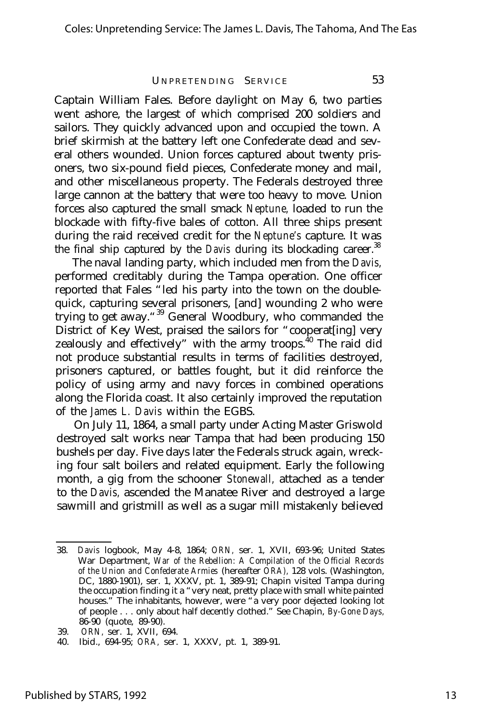Captain William Fales. Before daylight on May 6, two parties went ashore, the largest of which comprised 200 soldiers and sailors. They quickly advanced upon and occupied the town. A brief skirmish at the battery left one Confederate dead and several others wounded. Union forces captured about twenty prisoners, two six-pound field pieces, Confederate money and mail, and other miscellaneous property. The Federals destroyed three large cannon at the battery that were too heavy to move. Union forces also captured the small smack *Neptune,* loaded to run the blockade with fifty-five bales of cotton. All three ships present during the raid received credit for the *Neptune's* capture. It was the final ship captured by the *Davis* during its blockading career.<sup>38</sup>

The naval landing party, which included men from the *Davis,* performed creditably during the Tampa operation. One officer reported that Fales "led his party into the town on the doublequick, capturing several prisoners, [and] wounding 2 who were trying to get away."<sup>39</sup> General Woodbury, who commanded the District of Key West, praised the sailors for "cooperat [ing] very zealously and effectively" with the army troops. $^{40}$  The raid did not produce substantial results in terms of facilities destroyed, prisoners captured, or battles fought, but it did reinforce the policy of using army and navy forces in combined operations along the Florida coast. It also certainly improved the reputation of the *James L. Davis* within the EGBS.

On July 11, 1864, a small party under Acting Master Griswold destroyed salt works near Tampa that had been producing 150 bushels per day. Five days later the Federals struck again, wrecking four salt boilers and related equipment. Early the following month, a gig from the schooner *Stonewall,* attached as a tender to the *Davis,* ascended the Manatee River and destroyed a large sawmill and gristmill as well as a sugar mill mistakenly believed

<sup>38.</sup> *Davis* logbook, May 4-8, 1864; *ORN,* ser. 1, XVII, 693-96; United States War Department, *War of the Rebellion: A Compilation of the Official Records of the Union and Confederate Armies* (hereafter *ORA),* 128 vols. (Washington, DC, 1880-1901), ser. 1, XXXV, pt. 1, 389-91; Chapin visited Tampa during the occupation finding it a "very neat, pretty place with small white painted houses." The inhabitants, however, were "a very poor dejected looking lot of people . . . only about half decently clothed." See Chapin, *By-Gone Days,* 86-90 (quote, 89-90).

<sup>39.</sup> *ORN,* ser. 1, XVII, 694.

<sup>40.</sup> Ibid., 694-95; *ORA,* ser. 1, XXXV, pt. 1, 389-91.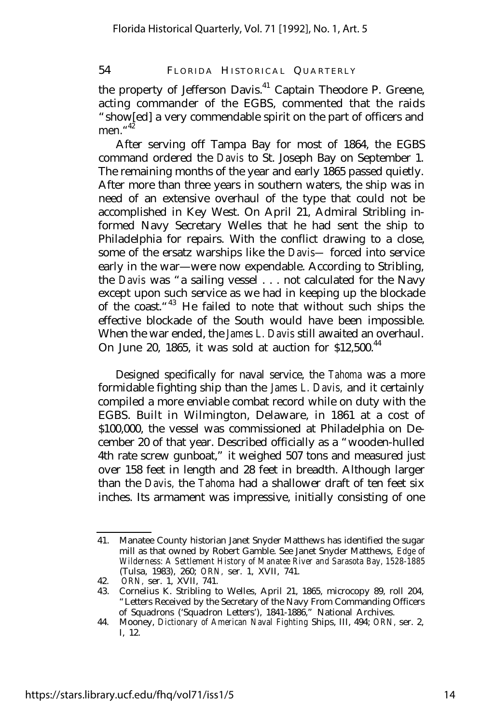the property of Jefferson Davis.<sup>41</sup> Captain Theodore P. Greene, acting commander of the EGBS, commented that the raids "show[ed] a very commendable spirit on the part of officers and men." 42

After serving off Tampa Bay for most of 1864, the EGBS command ordered the *Davis* to St. Joseph Bay on September 1. The remaining months of the year and early 1865 passed quietly. After more than three years in southern waters, the ship was in need of an extensive overhaul of the type that could not be accomplished in Key West. On April 21, Admiral Stribling informed Navy Secretary Welles that he had sent the ship to Philadelphia for repairs. With the conflict drawing to a close, some of the ersatz warships like the *Davis—* forced into service early in the war— were now expendable. According to Stribling, the *Davis* was "a sailing vessel . . . not calculated for the Navy except upon such service as we had in keeping up the blockade of the coast."<sup>43</sup> He failed to note that without such ships the effective blockade of the South would have been impossible. When the war ended, the *James L. Davis* still awaited an overhaul. On June 20, 1865, it was sold at auction for  $$12,500$ .<sup>44</sup>

Designed specifically for naval service, the *Tahoma* was a more formidable fighting ship than the *James L. Davis,* and it certainly compiled a more enviable combat record while on duty with the EGBS. Built in Wilmington, Delaware, in 1861 at a cost of \$100,000, the vessel was commissioned at Philadelphia on December 20 of that year. Described officially as a "wooden-hulled 4th rate screw gunboat," it weighed 507 tons and measured just over 158 feet in length and 28 feet in breadth. Although larger than the *Davis,* the *Tahoma* had a shallower draft of ten feet six inches. Its armament was impressive, initially consisting of one

<sup>41.</sup> Manatee County historian Janet Snyder Matthews has identified the sugar mill as that owned by Robert Gamble. See Janet Snyder Matthews, *Edge of Wilderness: A Settlement History of Manatee River and Sarasota Bay, 1528-1885* (Tulsa, 1983), 260; *ORN,* ser. 1, XVII, 741.

<sup>42.</sup> *ORN,* ser. 1, XVII, 741.

<sup>43.</sup> Cornelius K. Stribling to Welles, April 21, 1865, microcopy 89, roll 204, "Letters Received by the Secretary of the Navy From Commanding Officers of Squadrons ('Squadron Letters'), 1841-1886," National Archives.

<sup>44.</sup> Mooney, *Dictionary of American Naval Fighting* Ships, III, 494; *ORN,* ser. 2, I, 12.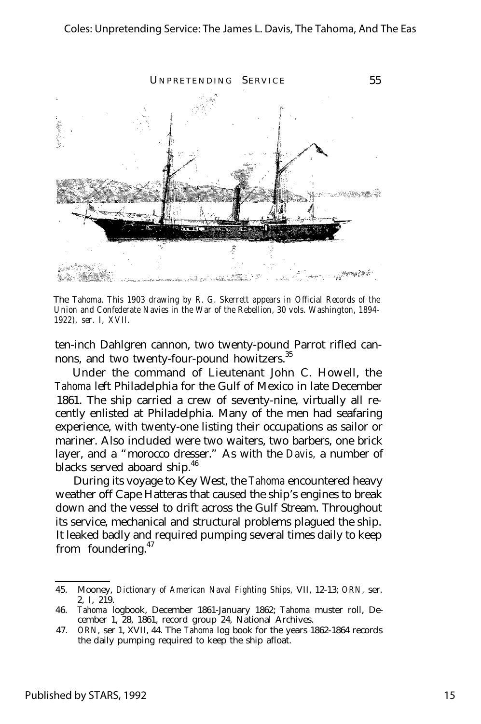

The *Tahoma. This 1903 drawing by R. G. Skerrett appears in Official Records of the Union and Confederate Navies in the War of the Rebellion, 30 vols. Washington, 1894- 1922), ser. I, XVII.*

ten-inch Dahlgren cannon, two twenty-pound Parrot rifled cannons, and two twenty-four-pound howitzers.<sup>35</sup>

Under the command of Lieutenant John C. Howell, the *Tahoma* left Philadelphia for the Gulf of Mexico in late December 1861. The ship carried a crew of seventy-nine, virtually all recently enlisted at Philadelphia. Many of the men had seafaring experience, with twenty-one listing their occupations as sailor or mariner. Also included were two waiters, two barbers, one brick layer, and a "morocco dresser." As with the *Davis,* a number of blacks served aboard ship.<sup>46</sup>

During its voyage to Key West, the *Tahoma* encountered heavy weather off Cape Hatteras that caused the ship's engines to break down and the vessel to drift across the Gulf Stream. Throughout its service, mechanical and structural problems plagued the ship. It leaked badly and required pumping several times daily to keep from foundering.<sup>47</sup>

<sup>45.</sup> Mooney, *Dictionary of American Naval Fighting Ships,* VII, 12-13; *ORN,* ser. 2, I, 219.

<sup>46.</sup> *Tahoma* logbook, December 1861-January 1862; *Tahoma* muster roll, December 1, 28, 1861, record group 24, National Archives.

<sup>47.</sup> *ORN,* ser 1, XVII, 44. The *Tahoma* log book for the years 1862-1864 records the daily pumping required to keep the ship afloat.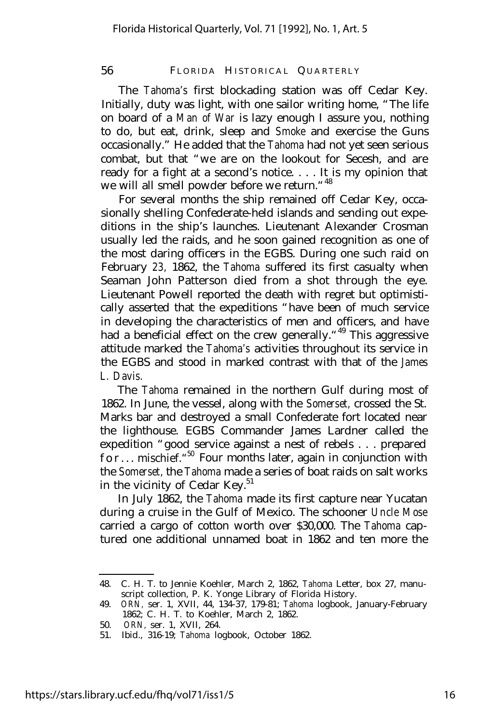The *Tahoma's* first blockading station was off Cedar Key. Initially, duty was light, with one sailor writing home, "The life on board of a *Man of War* is lazy enough I assure you, nothing to do, but eat, drink, sleep and *Smoke* and exercise the Guns occasionally." He added that the *Tahoma* had not yet seen serious combat, but that "we are on the lookout for Secesh, and are ready for a fight at a second's notice. . . . It is my opinion that we will all smell powder before we return. "<sup>48</sup>

For several months the ship remained off Cedar Key, occasionally shelling Confederate-held islands and sending out expeditions in the ship's launches. Lieutenant Alexander Crosman usually led the raids, and he soon gained recognition as one of the most daring officers in the EGBS. During one such raid on February *23,* 1862, the *Tahoma* suffered its first casualty when Seaman John Patterson died from a shot through the eye. Lieutenant Powell reported the death with regret but optimistically asserted that the expeditions "have been of much service in developing the characteristics of men and officers, and have had a beneficial effect on the crew generally.<sup>"49</sup> This aggressive attitude marked the *Tahoma's* activities throughout its service in the EGBS and stood in marked contrast with that of the *James L. Davis.*

The *Tahoma* remained in the northern Gulf during most of 1862. In June, the vessel, along with the *Somerset,* crossed the St. Marks bar and destroyed a small Confederate fort located near the lighthouse. EGBS Commander James Lardner called the expedition "good service against a nest of rebels . . . prepared <code>for...</code> mischief." $\rm{^{50}}$  Four months later, again in conjunction with the *Somerset,* the *Tahoma* made a series of boat raids on salt works in the vicinity of Cedar  ${\rm Key.}^{51}$ 

In July 1862, the *Tahoma* made its first capture near Yucatan during a cruise in the Gulf of Mexico. The schooner *Uncle Mose* carried a cargo of cotton worth over \$30,000. The *Tahoma* captured one additional unnamed boat in 1862 and ten more the

<sup>48.</sup> C. H. T. to Jennie Koehler, March 2, 1862, *Tahoma* Letter, box 27, manuscript collection, P. K. Yonge Library of Florida History.

<sup>49.</sup> *ORN,* ser. 1, XVII, 44, 134-37, 179-81; *Tahoma* logbook, January-February 1862; C. H. T. to Koehler, March 2, 1862.

<sup>50.</sup> *ORN,* ser. 1, XVII, 264.

<sup>51.</sup> Ibid., 316-19; *Tahoma* logbook, October 1862.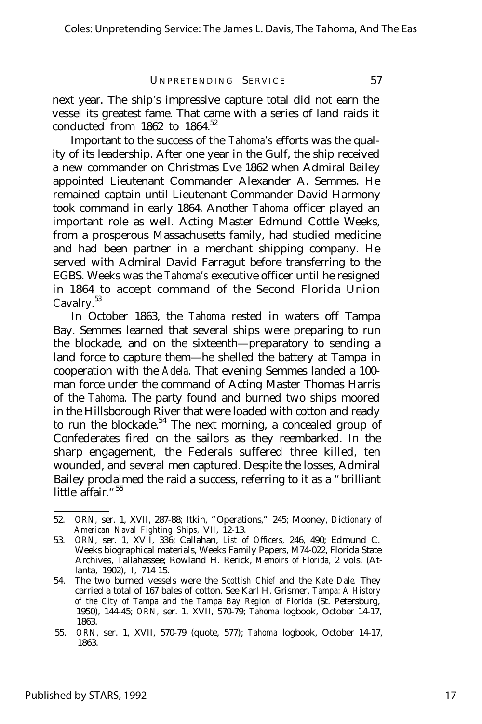next year. The ship's impressive capture total did not earn the vessel its greatest fame. That came with a series of land raids it conducted from  $1862$  to  $1864$ <sup>52</sup>

Important to the success of the *Tahoma's* efforts was the quality of its leadership. After one year in the Gulf, the ship received a new commander on Christmas Eve 1862 when Admiral Bailey appointed Lieutenant Commander Alexander A. Semmes. He remained captain until Lieutenant Commander David Harmony took command in early 1864. Another *Tahoma* officer played an important role as well. Acting Master Edmund Cottle Weeks, from a prosperous Massachusetts family, had studied medicine and had been partner in a merchant shipping company. He served with Admiral David Farragut before transferring to the EGBS. Weeks was the *Tahoma's* executive officer until he resigned in 1864 to accept command of the Second Florida Union Cavalry.<sup>53</sup>

In October 1863, the *Tahoma* rested in waters off Tampa Bay. Semmes learned that several ships were preparing to run the blockade, and on the sixteenth— preparatory to sending a land force to capture them— he shelled the battery at Tampa in cooperation with the *Adela.* That evening Semmes landed a 100 man force under the command of Acting Master Thomas Harris of the *Tahoma.* The party found and burned two ships moored in the Hillsborough River that were loaded with cotton and ready to run the blockade.<sup>54</sup> The next morning, a concealed group of Confederates fired on the sailors as they reembarked. In the sharp engagement, the Federals suffered three killed, ten wounded, and several men captured. Despite the losses, Admiral Bailey proclaimed the raid a success, referring to it as a "brilliant little affair."<sup>55</sup>

<sup>52.</sup> *ORN,* ser. 1, XVII, 287-88; Itkin, "Operations," 245; Mooney, *Dictionary of American Naval Fighting Ships,* VII, 12-13.

<sup>53.</sup> *ORN,* ser. 1, XVII, 336; Callahan, *List of Officers,* 246, 490; Edmund C. Weeks biographical materials, Weeks Family Papers, M74-022, Florida State Archives, Tallahassee; Rowland H. Rerick, *Memoirs of Florida,* 2 vols. (Atlanta, 1902), I, 714-15.

<sup>54.</sup> The two burned vessels were the *Scottish Chief* and the *Kate Dale.* They carried a total of 167 bales of cotton. See Karl H. Grismer, *Tampa: A History of the City of Tampa and the Tampa Bay Region of Florida* (St. Petersburg, 1950), 144-45; *ORN,* ser. 1, XVII, 570-79; *Tahoma* logbook, October 14-17, 1863.

<sup>55.</sup> *ORN,* ser. 1, XVII, 570-79 (quote, 577); *Tahoma* logbook, October 14-17, 1863.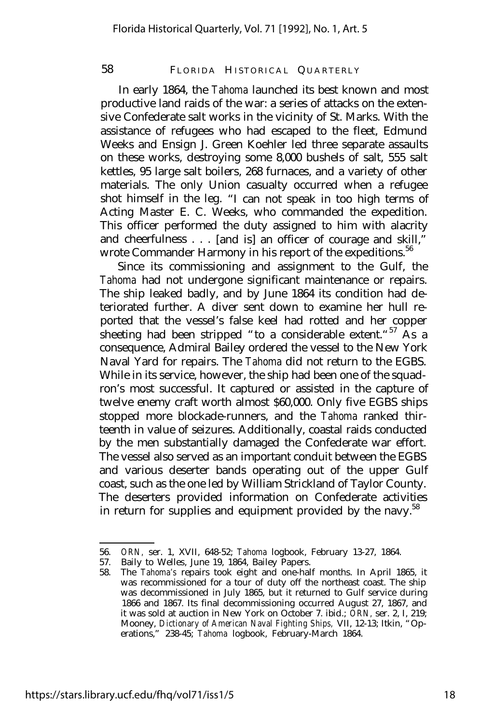In early 1864, the *Tahoma* launched its best known and most productive land raids of the war: a series of attacks on the extensive Confederate salt works in the vicinity of St. Marks. With the assistance of refugees who had escaped to the fleet, Edmund Weeks and Ensign J. Green Koehler led three separate assaults on these works, destroying some 8,000 bushels of salt, 555 salt kettles, 95 large salt boilers, 268 furnaces, and a variety of other materials. The only Union casualty occurred when a refugee shot himself in the leg. "I can not speak in too high terms of Acting Master E. C. Weeks, who commanded the expedition. This officer performed the duty assigned to him with alacrity and cheerfulness . . . [and is] an officer of courage and skill," wrote Commander Harmony in his report of the expeditions.<sup>56</sup>

Since its commissioning and assignment to the Gulf, the *Tahoma* had not undergone significant maintenance or repairs. The ship leaked badly, and by June 1864 its condition had deteriorated further. A diver sent down to examine her hull reported that the vessel's false keel had rotted and her copper sheeting had been stripped "to a considerable extent."<sup>57</sup> As a consequence, Admiral Bailey ordered the vessel to the New York Naval Yard for repairs. The *Tahoma* did not return to the EGBS. While in its service, however, the ship had been one of the squadron's most successful. It captured or assisted in the capture of twelve enemy craft worth almost \$60,000. Only five EGBS ships stopped more blockade-runners, and the *Tahoma* ranked thirteenth in value of seizures. Additionally, coastal raids conducted by the men substantially damaged the Confederate war effort. The vessel also served as an important conduit between the EGBS and various deserter bands operating out of the upper Gulf coast, such as the one led by William Strickland of Taylor County. The deserters provided information on Confederate activities in return for supplies and equipment provided by the navy.<sup>58</sup>

<sup>56.</sup> *ORN,* ser. 1, XVII, 648-52; *Tahoma* logbook, February 13-27, 1864.

Baily to Welles, June 19, 1864, Bailey Papers.

<sup>58.</sup> The *Tahoma's* repairs took eight and one-half months. In April 1865, it was recommissioned for a tour of duty off the northeast coast. The ship was decommissioned in July 1865, but it returned to Gulf service during 1866 and 1867. Its final decommissioning occurred August 27, 1867, and it was sold at auction in New York on October 7. ibid.; *ORN,* ser. 2, I, 219; Mooney, *Dictionary of American Naval Fighting Ships,* VII, 12-13; Itkin, "Operations," 238-45; *Tahoma* logbook, February-March 1864.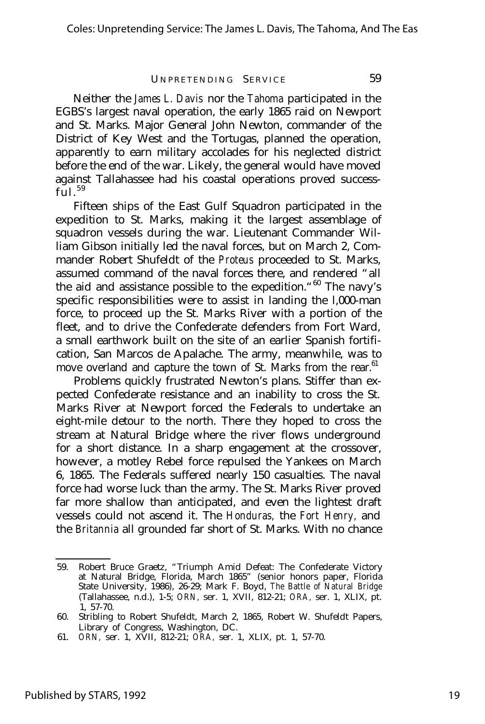Neither the *James L. Davis* nor the *Tahoma* participated in the EGBS's largest naval operation, the early 1865 raid on Newport and St. Marks. Major General John Newton, commander of the District of Key West and the Tortugas, planned the operation, apparently to earn military accolades for his neglected district before the end of the war. Likely, the general would have moved against Tallahassee had his coastal operations proved success- $\tilde{\mathrm{full}}$ .<sup>59</sup>

Fifteen ships of the East Gulf Squadron participated in the expedition to St. Marks, making it the largest assemblage of squadron vessels during the war. Lieutenant Commander William Gibson initially led the naval forces, but on March 2, Commander Robert Shufeldt of the *Proteus* proceeded to St. Marks, assumed command of the naval forces there, and rendered "all the aid and assistance possible to the expedition."<sup>60</sup> The navy's specific responsibilities were to assist in landing the l,000-man force, to proceed up the St. Marks River with a portion of the fleet, and to drive the Confederate defenders from Fort Ward, a small earthwork built on the site of an earlier Spanish fortification, San Marcos de Apalache. The army, meanwhile, was to move overland and capture the town of St. Marks from the rear.<sup>61</sup>

Problems quickly frustrated Newton's plans. Stiffer than expected Confederate resistance and an inability to cross the St. Marks River at Newport forced the Federals to undertake an eight-mile detour to the north. There they hoped to cross the stream at Natural Bridge where the river flows underground for a short distance. In a sharp engagement at the crossover, however, a motley Rebel force repulsed the Yankees on March 6, 1865. The Federals suffered nearly 150 casualties. The naval force had worse luck than the army. The St. Marks River proved far more shallow than anticipated, and even the lightest draft vessels could not ascend it. The *Honduras,* the *Fort Henry,* and the *Britannia* all grounded far short of St. Marks. With no chance

<sup>59.</sup> Robert Bruce Graetz, "Triumph Amid Defeat: The Confederate Victory at Natural Bridge, Florida, March 1865" (senior honors paper, Florida State University, 1986), 26-29; Mark F. Boyd, *The Battle of Natural Bridge* (Tallahassee, n.d.), 1-5; *ORN,* ser. 1, XVII, 812-21; *ORA,* ser. 1, XLIX, pt. 1, 57-70.

<sup>60.</sup> Stribling to Robert Shufeldt, March 2, 1865, Robert W. Shufeldt Papers, Library of Congress, Washington, DC.

<sup>61.</sup> *ORN,* ser. 1, XVII, 812-21; *ORA,* ser. 1, XLIX, pt. 1, 57-70.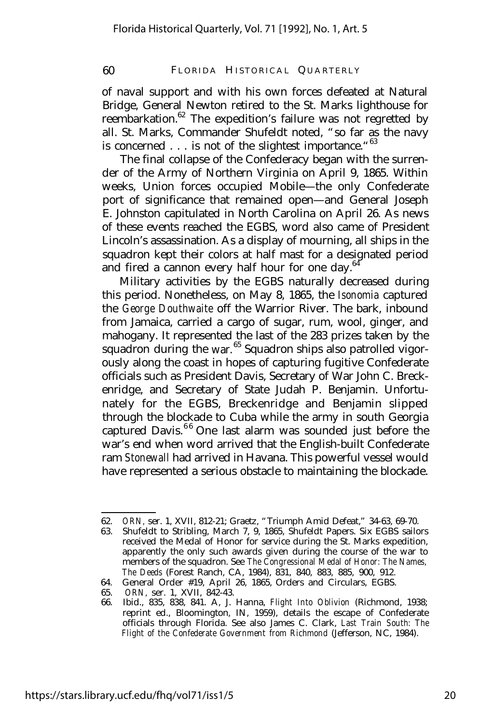of naval support and with his own forces defeated at Natural Bridge, General Newton retired to the St. Marks lighthouse for reembarkation.<sup>62</sup> The expedition's failure was not regretted by all. St. Marks, Commander Shufeldt noted, "so far as the navy is concerned  $\dots$  is not of the slightest importance." $63$ 

The final collapse of the Confederacy began with the surrender of the Army of Northern Virginia on April 9, 1865. Within weeks, Union forces occupied Mobile— the only Confederate port of significance that remained open— and General Joseph E. Johnston capitulated in North Carolina on April 26. As news of these events reached the EGBS, word also came of President Lincoln's assassination. As a display of mourning, all ships in the squadron kept their colors at half mast for a designated period and fired a cannon every half hour for one day. $64$ 

Military activities by the EGBS naturally decreased during this period. Nonetheless, on May 8, 1865, the *Isonomia* captured the *George Douthwaite* off the Warrior River. The bark, inbound from Jamaica, carried a cargo of sugar, rum, wool, ginger, and mahogany. It represented the last of the 283 prizes taken by the squadron during the war.<sup>65</sup> Squadron ships also patrolled vigorously along the coast in hopes of capturing fugitive Confederate officials such as President Davis, Secretary of War John C. Breckenridge, and Secretary of State Judah P. Benjamin. Unfortunately for the EGBS, Breckenridge and Benjamin slipped through the blockade to Cuba while the army in south Georgia captured Davis. $66$  One last alarm was sounded just before the war's end when word arrived that the English-built Confederate ram *Stonewall* had arrived in Havana. This powerful vessel would have represented a serious obstacle to maintaining the blockade.

<sup>62.</sup> *ORN,* ser. 1, XVII, 812-21; Graetz, "Triumph Amid Defeat," 34-63, 69-70.

<sup>63.</sup> Shufeldt to Stribling, March 7, 9, 1865, Shufeldt Papers. Six EGBS sailors received the Medal of Honor for service during the St. Marks expedition, apparently the only such awards given during the course of the war to members of the squadron. See *The Congressional Medal of Honor: The Names, The Deeds* (Forest Ranch, CA, 1984), 831, 840, 883, 885, 900, 912.

<sup>64.</sup> General Order #19, April 26, 1865, Orders and Circulars, EGBS.

<sup>65.</sup> *ORN,* ser. 1, XVII, 842-43.

<sup>66.</sup> Ibid., 835, 838, 841. A, J. Hanna, *Flight Into Oblivion* (Richmond, 1938; reprint ed., Bloomington, IN, 1959), details the escape of Confederate officials through Florida. See also James C. Clark, *Last Train South: The Flight of the Confederate Government from Richmond* (Jefferson, NC, 1984).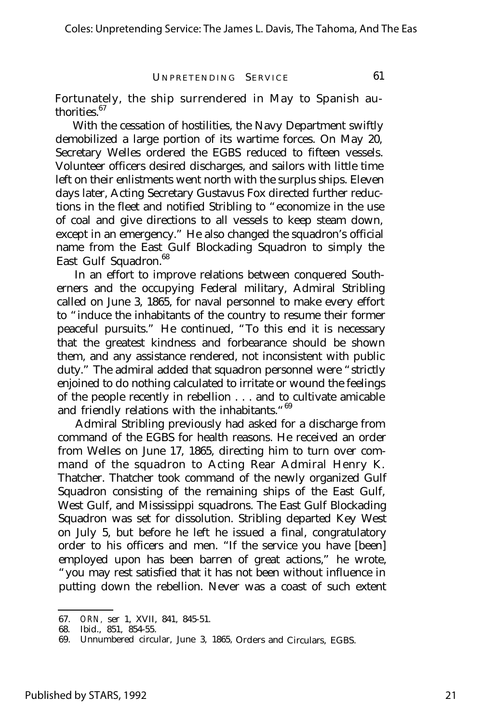Fortunately, the ship surrendered in May to Spanish authorities.<sup>67</sup>

With the cessation of hostilities, the Navy Department swiftly demobilized a large portion of its wartime forces. On May 20, Secretary Welles ordered the EGBS reduced to fifteen vessels. Volunteer officers desired discharges, and sailors with little time left on their enlistments went north with the surplus ships. Eleven days later, Acting Secretary Gustavus Fox directed further reductions in the fleet and notified Stribling to "economize in the use of coal and give directions to all vessels to keep steam down, except in an emergency." He also changed the squadron's official name from the East Gulf Blockading Squadron to simply the East Gulf Squadron.<sup>68</sup>

In an effort to improve relations between conquered Southerners and the occupying Federal military, Admiral Stribling called on June 3, 1865, for naval personnel to make every effort to "induce the inhabitants of the country to resume their former peaceful pursuits." He continued, "To this end it is necessary that the greatest kindness and forbearance should be shown them, and any assistance rendered, not inconsistent with public duty." The admiral added that squadron personnel were "strictly enjoined to do nothing calculated to irritate or wound the feelings of the people recently in rebellion . . . and to cultivate amicable and friendly relations with the inhabitants. "<sup>69</sup>

Admiral Stribling previously had asked for a discharge from command of the EGBS for health reasons. He received an order from Welles on June 17, 1865, directing him to turn over command of the squadron to Acting Rear Admiral Henry K. Thatcher. Thatcher took command of the newly organized Gulf Squadron consisting of the remaining ships of the East Gulf, West Gulf, and Mississippi squadrons. The East Gulf Blockading Squadron was set for dissolution. Stribling departed Key West on July 5, but before he left he issued a final, congratulatory order to his officers and men. "If the service you have [been] employed upon has been barren of great actions," he wrote, "you may rest satisfied that it has not been without influence in putting down the rebellion. Never was a coast of such extent

<sup>67.</sup> *ORN,* ser 1, XVII, 841, 845-51.

<sup>68.</sup> Ibid., 851, 854-55.

<sup>69.</sup> Unnumbered circular, June 3, 1865, Orders and Circulars, EGBS.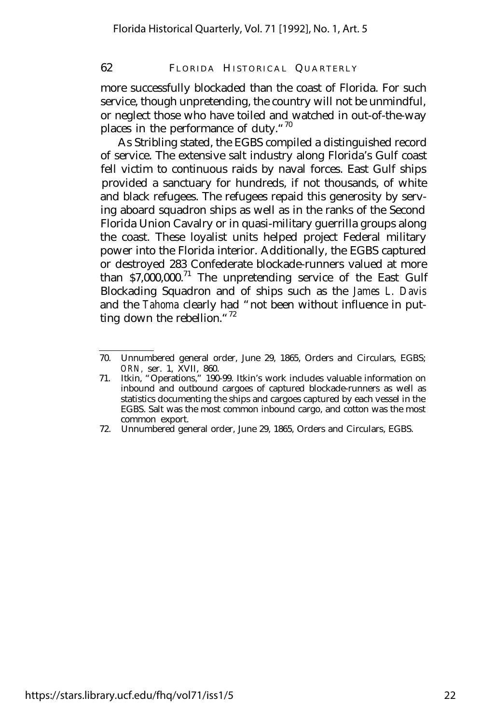more successfully blockaded than the coast of Florida. For such service, though unpretending, the country will not be unmindful, or neglect those who have toiled and watched in out-of-the-way places in the performance of duty."<sup>70</sup>

As Stribling stated, the EGBS compiled a distinguished record of service. The extensive salt industry along Florida's Gulf coast fell victim to continuous raids by naval forces. East Gulf ships provided a sanctuary for hundreds, if not thousands, of white and black refugees. The refugees repaid this generosity by serving aboard squadron ships as well as in the ranks of the Second Florida Union Cavalry or in quasi-military guerrilla groups along the coast. These loyalist units helped project Federal military power into the Florida interior. Additionally, the EGBS captured or destroyed 283 Confederate blockade-runners valued at more than  $$7,000,000$ .<sup>71</sup> The unpretending service of the East Gulf Blockading Squadron and of ships such as the *James L. Davis* and the *Tahoma* clearly had "not been without influence in putting down the rebellion." $72$ 

<sup>70.</sup> Unnumbered general order, June 29, 1865, Orders and Circulars, EGBS; *ORN,* ser. 1, XVII, 860.

<sup>71.</sup> Itkin, "Operations," 190-99. Itkin's work includes valuable information on inbound and outbound cargoes of captured blockade-runners as well as statistics documenting the ships and cargoes captured by each vessel in the EGBS. Salt was the most common inbound cargo, and cotton was the most common export.

<sup>72.</sup> Unnumbered general order, June 29, 1865, Orders and Circulars, EGBS.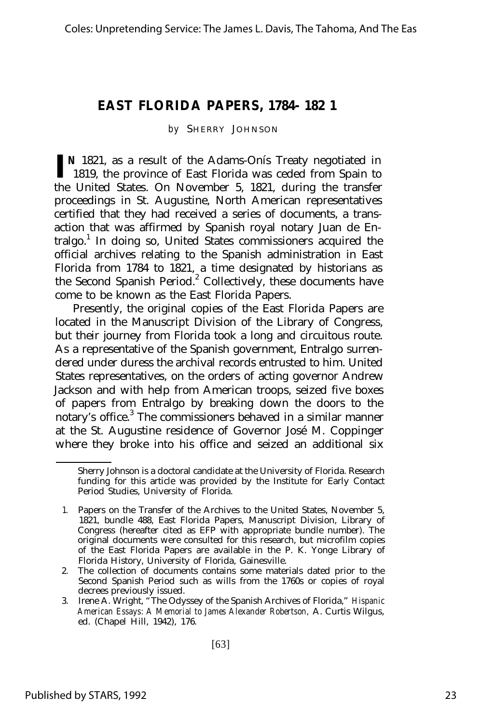# **EAST FLORIDA PAPERS, 1784- 182 1**

#### *by* SHERRY JOHNSON

**I N** 1821, as a result of the Adams-Onís Treaty negotiated in 1819, the province of East Florida was ceded from Spain to the United States. On November 5, 1821, during the transfer proceedings in St. Augustine, North American representatives certified that they had received a series of documents, a transaction that was affirmed by Spanish royal notary Juan de Entralgo.<sup>1</sup> In doing so, United States commissioners acquired the official archives relating to the Spanish administration in East Florida from 1784 to 1821, a time designated by historians as the Second Spanish Period.<sup>2</sup> Collectively, these documents have come to be known as the East Florida Papers.

Presently, the original copies of the East Florida Papers are located in the Manuscript Division of the Library of Congress, but their journey from Florida took a long and circuitous route. As a representative of the Spanish government, Entralgo surrendered under duress the archival records entrusted to him. United States representatives, on the orders of acting governor Andrew Jackson and with help from American troops, seized five boxes of papers from Entralgo by breaking down the doors to the notary's office.<sup>3</sup> The commissioners behaved in a similar manner at the St. Augustine residence of Governor José M. Coppinger where they broke into his office and seized an additional six

Sherry Johnson is a doctoral candidate at the University of Florida. Research funding for this article was provided by the Institute for Early Contact Period Studies, University of Florida.

<sup>1.</sup> Papers on the Transfer of the Archives to the United States, November 5, 1821, bundle 488, East Florida Papers, Manuscript Division, Library of Congress (hereafter cited as EFP with appropriate bundle number). The original documents were consulted for this research, but microfilm copies of the East Florida Papers are available in the P. K. Yonge Library of Florida History, University of Florida, Gainesville.

<sup>2.</sup> The collection of documents contains some materials dated prior to the Second Spanish Period such as wills from the 1760s or copies of royal decrees previously issued.

<sup>3.</sup> Irene A. Wright, "The Odyssey of the Spanish Archives of Florida," *Hispanic American Essays: A Memorial to James Alexander Robertson,* A. Curtis Wilgus, ed. (Chapel Hill, 1942), 176.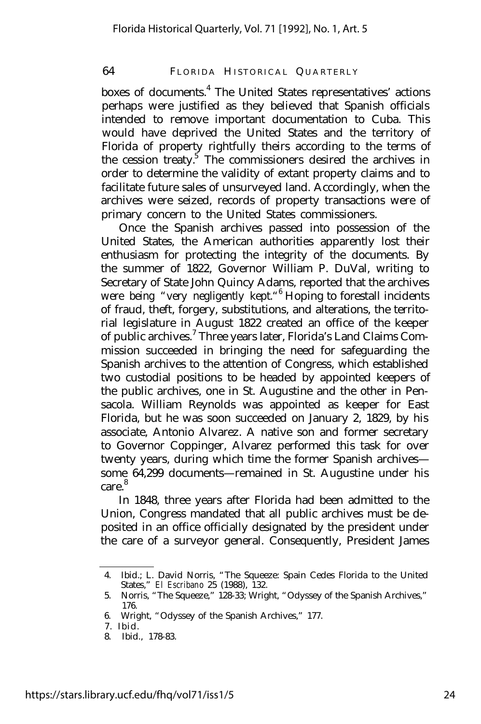boxes of documents.<sup>4</sup> The United States representatives' actions perhaps were justified as they believed that Spanish officials intended to remove important documentation to Cuba. This would have deprived the United States and the territory of Florida of property rightfully theirs according to the terms of the cession treaty.<sup>5</sup> The commissioners desired the archives in order to determine the validity of extant property claims and to facilitate future sales of unsurveyed land. Accordingly, when the archives were seized, records of property transactions were of primary concern to the United States commissioners.

Once the Spanish archives passed into possession of the United States, the American authorities apparently lost their enthusiasm for protecting the integrity of the documents. By the summer of 1822, Governor William P. DuVal, writing to Secretary of State John Quincy Adams, reported that the archives were being "very negligently kept."<sup>6</sup> Hoping to forestall incidents of fraud, theft, forgery, substitutions, and alterations, the territorial legislature in August 1822 created an office of the keeper of public archives.<sup>7</sup> Three years later, Florida's Land Claims Commission succeeded in bringing the need for safeguarding the Spanish archives to the attention of Congress, which established two custodial positions to be headed by appointed keepers of the public archives, one in St. Augustine and the other in Pensacola. William Reynolds was appointed as keeper for East Florida, but he was soon succeeded on January 2, 1829, by his associate, Antonio Alvarez. A native son and former secretary to Governor Coppinger, Alvarez performed this task for over twenty years, during which time the former Spanish archives some 64,299 documents— remained in St. Augustine under his care<sup>8</sup>

In 1848, three years after Florida had been admitted to the Union, Congress mandated that all public archives must be deposited in an office officially designated by the president under the care of a surveyor general. Consequently, President James

<sup>4.</sup> Ibid.; L. David Norris, "The Squeeze: Spain Cedes Florida to the United States," *El Escribano* 25 (1988), 132.

<sup>5.</sup> Norris, "The Squeeze," 128-33; Wright, "Odyssey of the Spanish Archives," 176.

<sup>6.</sup> Wright, "Odyssey of the Spanish Archives," 177.

<sup>7.</sup> Ibid.

<sup>8.</sup> Ibid., 178-83.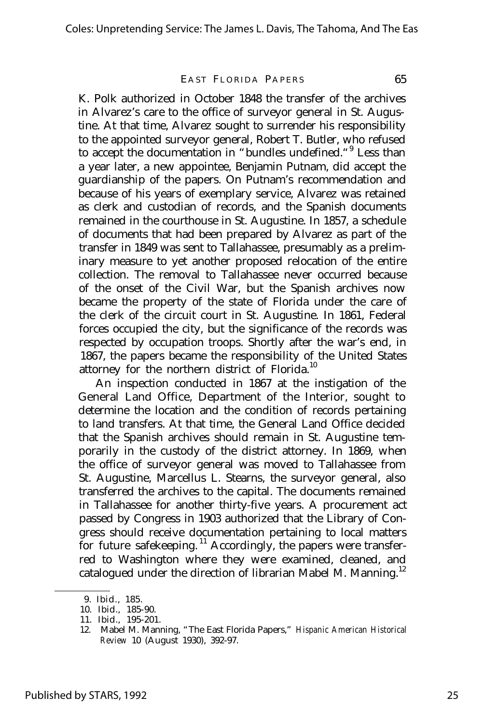#### EAST FLORIDA PAPERS 65

K. Polk authorized in October 1848 the transfer of the archives in Alvarez's care to the office of surveyor general in St. Augustine. At that time, Alvarez sought to surrender his responsibility to the appointed surveyor general, Robert T. Butler, who refused to accept the documentation in "bundles undefined. "<sup>9</sup> Less than a year later, a new appointee, Benjamin Putnam, did accept the guardianship of the papers. On Putnam's recommendation and because of his years of exemplary service, Alvarez was retained as clerk and custodian of records, and the Spanish documents remained in the courthouse in St. Augustine. In 1857, a schedule of documents that had been prepared by Alvarez as part of the transfer in 1849 was sent to Tallahassee, presumably as a preliminary measure to yet another proposed relocation of the entire collection. The removal to Tallahassee never occurred because of the onset of the Civil War, but the Spanish archives now became the property of the state of Florida under the care of the clerk of the circuit court in St. Augustine. In 1861, Federal forces occupied the city, but the significance of the records was respected by occupation troops. Shortly after the war's end, in 1867, the papers became the responsibility of the United States attorney for the northern district of Florida.<sup>10</sup>

An inspection conducted in 1867 at the instigation of the General Land Office, Department of the Interior, sought to determine the location and the condition of records pertaining to land transfers. At that time, the General Land Office decided that the Spanish archives should remain in St. Augustine temporarily in the custody of the district attorney. In 1869, when the office of surveyor general was moved to Tallahassee from St. Augustine, Marcellus L. Stearns, the surveyor general, also transferred the archives to the capital. The documents remained in Tallahassee for another thirty-five years. A procurement act passed by Congress in 1903 authorized that the Library of Congress should receive documentation pertaining to local matters for future safekeeping.<sup>11</sup> Accordingly, the papers were transferred to Washington where they were examined, cleaned, and catalogued under the direction of librarian Mabel M. Manning.<sup>12</sup>

<sup>9.</sup> Ibid., 185.

<sup>10.</sup> Ibid., 185-90.

<sup>11.</sup> Ibid., 195-201.

<sup>12.</sup> Mabel M. Manning, "The East Florida Papers," *Hispanic American Historical Review* 10 (August 1930), 392-97.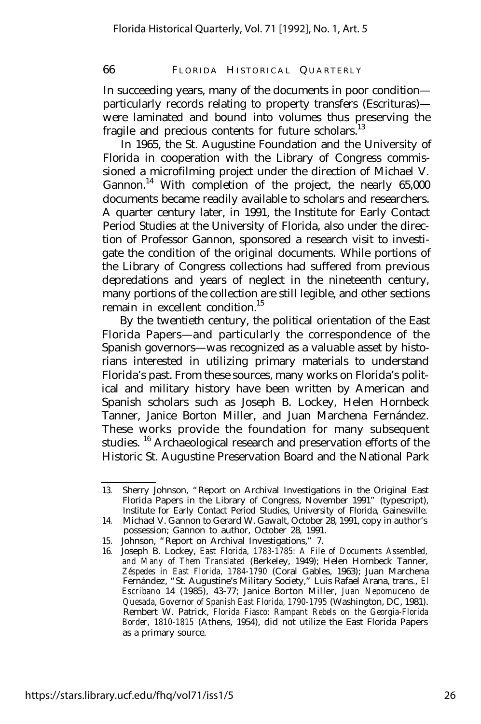In succeeding years, many of the documents in poor condition particularly records relating to property transfers (Escrituras) were laminated and bound into volumes thus preserving the fragile and precious contents for future scholars.<sup>13</sup>

In 1965, the St. Augustine Foundation and the University of Florida in cooperation with the Library of Congress commissioned a microfilming project under the direction of Michael V. Gannon.<sup>14</sup> With completion of the project, the nearly  $65,000$ documents became readily available to scholars and researchers. A quarter century later, in 1991, the Institute for Early Contact Period Studies at the University of Florida, also under the direction of Professor Gannon, sponsored a research visit to investigate the condition of the original documents. While portions of the Library of Congress collections had suffered from previous depredations and years of neglect in the nineteenth century, many portions of the collection are still legible, and other sections remain in excellent condition.<sup>15</sup>

By the twentieth century, the political orientation of the East Florida Papers— and particularly the correspondence of the Spanish governors— was recognized as a valuable asset by historians interested in utilizing primary materials to understand Florida's past. From these sources, many works on Florida's political and military history have been written by American and Spanish scholars such as Joseph B. Lockey, Helen Hornbeck Tanner, Janice Borton Miller, and Juan Marchena Fernández. These works provide the foundation for many subsequent studies. <sup>16</sup> Archaeological research and preservation efforts of the Historic St. Augustine Preservation Board and the National Park

<sup>13.</sup> Sherry Johnson, "Report on Archival Investigations in the Original East Florida Papers in the Library of Congress, November 1991" (typescript), Institute for Early Contact Period Studies, University of Florida, Gainesville.

<sup>14.</sup> Michael V. Gannon to Gerard W. Gawalt, October 28, 1991, copy in author's possession; Gannon to author, October 28, 1991.

<sup>15.</sup> Johnson, "Report on Archival Investigations," 7.

<sup>16.</sup> Joseph B. Lockey, *East Florida, 1783-1785: A File of Documents Assembled, and Many of Them Translated* (Berkeley, 1949); Helen Hornbeck Tanner, *Zéspedes in East Florida, 1784-1790* (Coral Gables, 1963); Juan Marchena Fernández, "St. Augustine's Military Society," Luis Rafael Arana, trans., *El Escribano* 14 (1985), 43-77; Janice Borton Miller, *Juan Nepomuceno de Quesada, Governor of Spanish East Florida, 1790-1795* (Washington, DC, 1981). Rembert W. Patrick, *Florida Fiasco: Rampant Rebels on the Georgia-Florida Border, 1810-1815* (Athens, 1954), did not utilize the East Florida Papers as a primary source.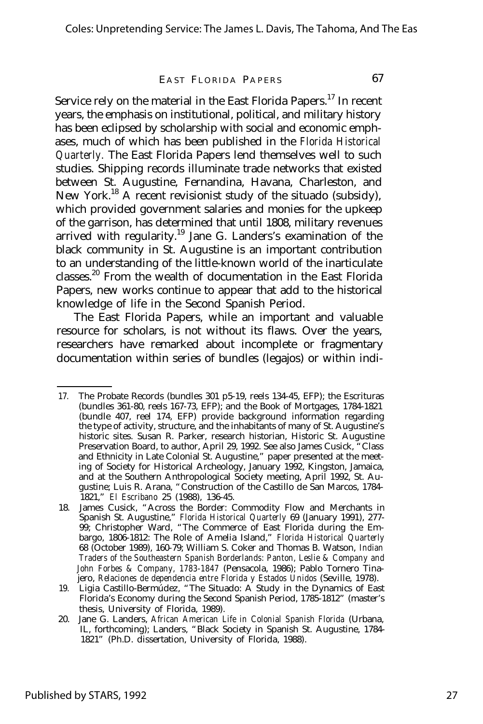## EAST FLORIDA PAPERS 67

Service rely on the material in the East Florida Papers.<sup>17</sup> In recent years, the emphasis on institutional, political, and military history has been eclipsed by scholarship with social and economic emphases, much of which has been published in the *Florida Historical Quarterly.* The East Florida Papers lend themselves well to such studies. Shipping records illuminate trade networks that existed between St. Augustine, Fernandina, Havana, Charleston, and New York.<sup>18</sup> A recent revisionist study of the situado (subsidy), which provided government salaries and monies for the upkeep of the garrison, has determined that until 1808, military revenues arrived with regularity.<sup>19</sup> Jane G. Landers's examination of the black community in St. Augustine is an important contribution to an understanding of the little-known world of the inarticulate classes.<sup>20</sup> From the wealth of documentation in the East Florida Papers, new works continue to appear that add to the historical knowledge of life in the Second Spanish Period.

The East Florida Papers, while an important and valuable resource for scholars, is not without its flaws. Over the years, researchers have remarked about incomplete or fragmentary documentation within series of bundles (legajos) or within indi-

<sup>17.</sup> The Probate Records (bundles 301 p5-19, reels 134-45, EFP); the Escrituras (bundles 361-80, reels 167-73, EFP); and the Book of Mortgages, 1784-1821 (bundle 407, reel 174, EFP) provide background information regarding the type of activity, structure, and the inhabitants of many of St. Augustine's historic sites. Susan R. Parker, research historian, Historic St. Augustine Preservation Board, to author, April 29, 1992. See also James Cusick, "Class and Ethnicity in Late Colonial St. Augustine," paper presented at the meeting of Society for Historical Archeology, January 1992, Kingston, Jamaica, and at the Southern Anthropological Society meeting, April 1992, St. Augustine; Luis R. Arana, "Construction of the Castillo de San Marcos, 1784- 1821," *El Escribano* 25 (1988), 136-45.

<sup>18.</sup> James Cusick, "Across the Border: Commodity Flow and Merchants in Spanish St. Augustine," *Florida Historical Quarterly* 69 (January 1991), 277- 99; Christopher Ward, "The Commerce of East Florida during the Embargo, 1806-1812: The Role of Amelia Island," *Florida Historical Quarterly* 68 (October 1989), 160-79; William S. Coker and Thomas B. Watson, *Indian Traders of the Southeastern Spanish Borderlands: Panton, Leslie & Company and John Forbes & Company, 1783-1847* (Pensacola, 1986); Pablo Tornero Tinajero, *Relaciones de dependencia entre Florida y Estados Unidos* (Seville, 1978).

<sup>19.</sup> Ligia Castillo-Bermúdez, "The Situado: A Study in the Dynamics of East Florida's Economy during the Second Spanish Period, 1785-1812" (master's thesis, University of Florida, 1989).

<sup>20.</sup> Jane G. Landers, *African American Life in Colonial Spanish Florida* (Urbana, IL, forthcoming); Landers, "Black Society in Spanish St. Augustine, 1784- 1821" (Ph.D. dissertation, University of Florida, 1988).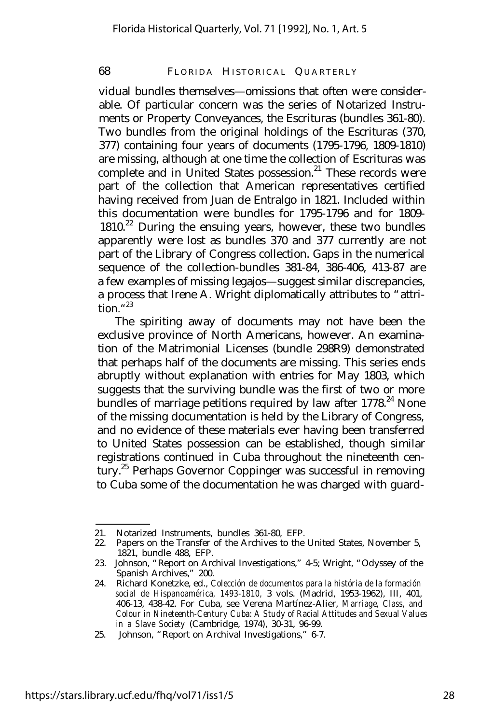vidual bundles themselves— omissions that often were considerable. Of particular concern was the series of Notarized Instruments or Property Conveyances, the Escrituras (bundles 361-80). Two bundles from the original holdings of the Escrituras (370, 377) containing four years of documents (1795-1796, 1809-1810) are missing, although at one time the collection of Escrituras was complete and in United States possession.<sup>21</sup> These records were part of the collection that American representatives certified having received from Juan de Entralgo in 1821. Included within this documentation were bundles for 1795-1796 and for 1809-  $1810<sup>22</sup>$  During the ensuing years, however, these two bundles apparently were lost as bundles 370 and 377 currently are not part of the Library of Congress collection. Gaps in the numerical sequence of the collection-bundles 381-84, 386-406, 413-87 are a few examples of missing legajos— suggest similar discrepancies, a process that Irene A. Wright diplomatically attributes to "attrition." 23

The spiriting away of documents may not have been the exclusive province of North Americans, however. An examination of the Matrimonial Licenses (bundle 298R9) demonstrated that perhaps half of the documents are missing. This series ends abruptly without explanation with entries for May 1803, which suggests that the surviving bundle was the first of two or more bundles of marriage petitions required by law after  $1778.<sup>24</sup>$  None of the missing documentation is held by the Library of Congress, and no evidence of these materials ever having been transferred to United States possession can be established, though similar registrations continued in Cuba throughout the nineteenth century.<sup>25</sup> Perhaps Governor Coppinger was successful in removing to Cuba some of the documentation he was charged with guard-

<sup>21.</sup> Notarized Instruments, bundles 361-80, EFP.

<sup>22.</sup> Papers on the Transfer of the Archives to the United States, November 5, 1821, bundle 488, EFP.

<sup>23.</sup> Johnson, "Report on Archival Investigations," 4-5; Wright, "Odyssey of the Spanish Archives," 200.

<sup>24.</sup> Richard Konetzke, ed., *Colección de documentos para la história de la formación social de Hispanoamérica, 1493-1810,* 3 vols. (Madrid, 1953-1962), III, 401, 406-13, 438-42. For Cuba, see Verena Martínez-Alier, *Marriage, Class, and Colour in Nineteenth-Century Cuba: A Study of Racial Attitudes and Sexual Values in a Slave Society* (Cambridge, 1974), 30-31, 96-99.

<sup>25.</sup> Johnson, "Report on Archival Investigations," 6-7.